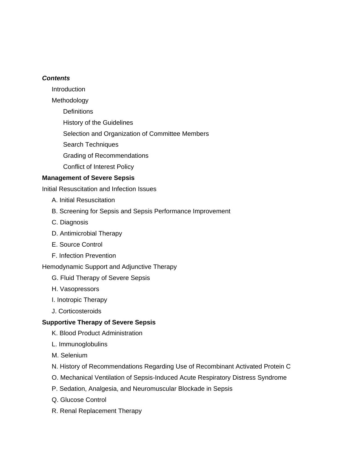#### *Contents*

Introduction

Methodology

**Definitions** 

History of the Guidelines

Selection and Organization of Committee Members

Search Techniques

Grading of Recommendations

Conflict of Interest Policy

## **Management of Severe Sepsis**

Initial Resuscitation and Infection Issues

- A. Initial Resuscitation
- B. Screening for Sepsis and Sepsis Performance Improvement
- C. Diagnosis
- D. Antimicrobial Therapy
- E. Source Control
- F. Infection Prevention

Hemodynamic Support and Adjunctive Therapy

- G. Fluid Therapy of Severe Sepsis
- H. Vasopressors
- I. Inotropic Therapy
- J. Corticosteroids

#### **Supportive Therapy of Severe Sepsis**

- K. Blood Product Administration
- L. Immunoglobulins
- M. Selenium
- N. History of Recommendations Regarding Use of Recombinant Activated Protein C
- O. Mechanical Ventilation of Sepsis-Induced Acute Respiratory Distress Syndrome
- P. Sedation, Analgesia, and Neuromuscular Blockade in Sepsis
- Q. Glucose Control
- R. Renal Replacement Therapy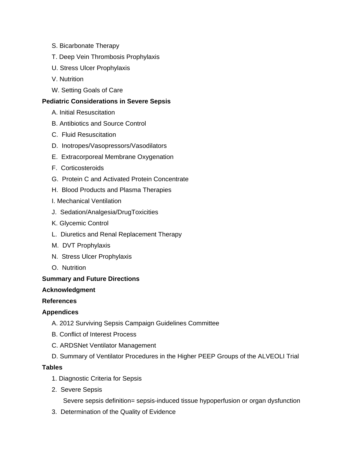- S. Bicarbonate Therapy
- T. Deep Vein Thrombosis Prophylaxis
- U. Stress Ulcer Prophylaxis
- V. Nutrition
- W. Setting Goals of Care

### **Pediatric Considerations in Severe Sepsis**

- A. Initial Resuscitation
- B. Antibiotics and Source Control
- C. Fluid Resuscitation
- D. Inotropes/Vasopressors/Vasodilators
- E. Extracorporeal Membrane Oxygenation
- F. Corticosteroids
- G. Protein C and Activated Protein Concentrate
- H. Blood Products and Plasma Therapies
- I. Mechanical Ventilation
- J. Sedation/Analgesia/DrugToxicities
- K. Glycemic Control
- L. Diuretics and Renal Replacement Therapy
- M. DVT Prophylaxis
- N. Stress Ulcer Prophylaxis
- O. Nutrition

#### **Summary and Future Directions**

#### **Acknowledgment**

#### **References**

#### **Appendices**

- A. 2012 Surviving Sepsis Campaign Guidelines Committee
- B. Conflict of Interest Process
- C. ARDSNet Ventilator Management
- D. Summary of Ventilator Procedures in the Higher PEEP Groups of the ALVEOLI Trial

#### **Tables**

- 1. Diagnostic Criteria for Sepsis
- 2. Severe Sepsis

Severe sepsis definition= sepsis-induced tissue hypoperfusion or organ dysfunction

3. Determination of the Quality of Evidence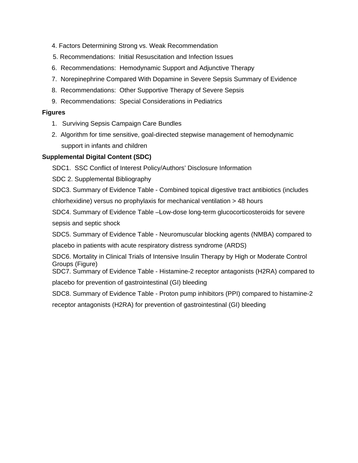- 4. Factors Determining Strong vs. Weak Recommendation
- 5. Recommendations: Initial Resuscitation and Infection Issues
- 6. Recommendations: Hemodynamic Support and Adjunctive Therapy
- 7. Norepinephrine Compared With Dopamine in Severe Sepsis Summary of Evidence
- 8. Recommendations: Other Supportive Therapy of Severe Sepsis
- 9. Recommendations: Special Considerations in Pediatrics

## **Figures**

- 1. Surviving Sepsis Campaign Care Bundles
- 2. Algorithm for time sensitive, goal-directed stepwise management of hemodynamic support in infants and children

## **Supplemental Digital Content (SDC)**

SDC1. SSC Conflict of Interest Policy/Authors' Disclosure Information

SDC 2. Supplemental Bibliography

SDC3. Summary of Evidence Table - Combined topical digestive tract antibiotics (includes chlorhexidine) versus no prophylaxis for mechanical ventilation > 48 hours

SDC4. Summary of Evidence Table –Low-dose long-term glucocorticosteroids for severe sepsis and septic shock

SDC5. Summary of Evidence Table - Neuromuscular blocking agents (NMBA) compared to

placebo in patients with acute respiratory distress syndrome (ARDS)

SDC6. Mortality in Clinical Trials of Intensive Insulin Therapy by High or Moderate Control Groups (Figure)

SDC7. Summary of Evidence Table - Histamine-2 receptor antagonists (H2RA) compared to placebo for prevention of gastrointestinal (GI) bleeding

SDC8. Summary of Evidence Table - Proton pump inhibitors (PPI) compared to histamine-2

receptor antagonists (H2RA) for prevention of gastrointestinal (GI) bleeding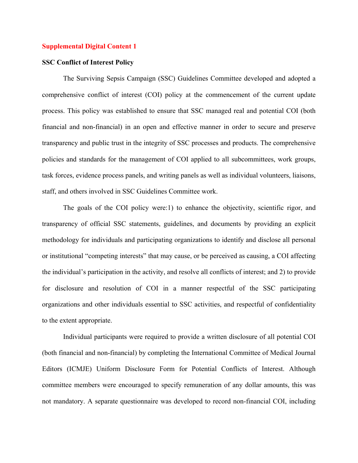#### **SSC Conflict of Interest Policy**

The Surviving Sepsis Campaign (SSC) Guidelines Committee developed and adopted a comprehensive conflict of interest (COI) policy at the commencement of the current update process. This policy was established to ensure that SSC managed real and potential COI (both financial and non-financial) in an open and effective manner in order to secure and preserve transparency and public trust in the integrity of SSC processes and products. The comprehensive policies and standards for the management of COI applied to all subcommittees, work groups, task forces, evidence process panels, and writing panels as well as individual volunteers, liaisons, staff, and others involved in SSC Guidelines Committee work.

The goals of the COI policy were:1) to enhance the objectivity, scientific rigor, and transparency of official SSC statements, guidelines, and documents by providing an explicit methodology for individuals and participating organizations to identify and disclose all personal or institutional "competing interests" that may cause, or be perceived as causing, a COI affecting the individual's participation in the activity, and resolve all conflicts of interest; and 2) to provide for disclosure and resolution of COI in a manner respectful of the SSC participating organizations and other individuals essential to SSC activities, and respectful of confidentiality to the extent appropriate.

Individual participants were required to provide a written disclosure of all potential COI (both financial and non-financial) by completing the International Committee of Medical Journal Editors (ICMJE) Uniform Disclosure Form for Potential Conflicts of Interest. Although committee members were encouraged to specify remuneration of any dollar amounts, this was not mandatory. A separate questionnaire was developed to record non-financial COI, including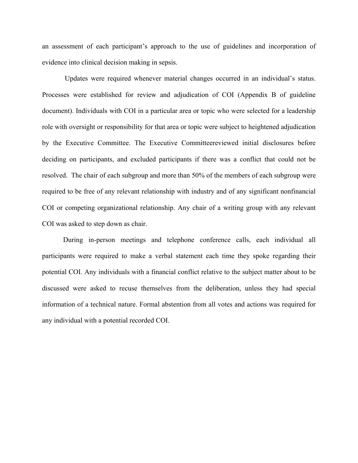an assessment of each participant's approach to the use of guidelines and incorporation of evidence into clinical decision making in sepsis.

 Updates were required whenever material changes occurred in an individual's status. Processes were established for review and adjudication of COI (Appendix B of guideline document). Individuals with COI in a particular area or topic who were selected for a leadership role with oversight or responsibility for that area or topic were subject to heightened adjudication by the Executive Committee. The Executive Committeereviewed initial disclosures before deciding on participants, and excluded participants if there was a conflict that could not be resolved. The chair of each subgroup and more than 50% of the members of each subgroup were required to be free of any relevant relationship with industry and of any significant nonfinancial COI or competing organizational relationship. Any chair of a writing group with any relevant COI was asked to step down as chair.

During in-person meetings and telephone conference calls, each individual all participants were required to make a verbal statement each time they spoke regarding their potential COI. Any individuals with a financial conflict relative to the subject matter about to be discussed were asked to recuse themselves from the deliberation, unless they had special information of a technical nature. Formal abstention from all votes and actions was required for any individual with a potential recorded COI.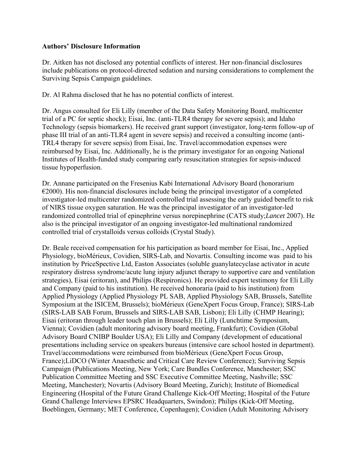### **Authors' Disclosure Information**

Dr. Aitken has not disclosed any potential conflicts of interest. Her non-financial disclosures include publications on protocol-directed sedation and nursing considerations to complement the Surviving Sepsis Campaign guidelines.

Dr. Al Rahma disclosed that he has no potential conflicts of interest.

Dr. Angus consulted for Eli Lilly (member of the Data Safety Monitoring Board, multicenter trial of a PC for septic shock); Eisai, Inc. (anti-TLR4 therapy for severe sepsis); and Idaho Technology (sepsis biomarkers). He received grant support (investigator, long-term follow-up of phase III trial of an anti-TLR4 agent in severe sepsis) and received a consulting income (anti-TRL4 therapy for severe sepsis) from Eisai, Inc. Travel/accommodation expenses were reimbursed by Eisai, Inc. Additionally, he is the primary investigator for an ongoing National Institutes of Health-funded study comparing early resuscitation strategies for sepsis-induced tissue hypoperfusion.

Dr. Annane participated on the Fresenius Kabi International Advisory Board (honorarium  $\epsilon$ 2000). His non-financial disclosures include being the principal investigator of a completed investigator-led multicenter randomized controlled trial assessing the early guided benefit to risk of NIRS tissue oxygen saturation. He was the principal investigator of an investigator-led randomized controlled trial of epinephrine versus norepinephrine (CATS study;*Lancet* 2007). He also is the principal investigator of an ongoing investigator-led multinational randomized controlled trial of crystalloids versus colloids (Crystal Study).

Dr. Beale received compensation for his participation as board member for Eisai, Inc., Applied Physiology, bioMérieux, Covidien, SIRS-Lab, and Novartis. Consulting income was paid to his institution by PriceSpective Ltd, Easton Associates (soluble guanylatecyclase activator in acute respiratory distress syndrome/acute lung injury adjunct therapy to supportive care and ventilation strategies), Eisai (eritoran), and Philips (Respironics). He provided expert testimony for Eli Lilly and Company (paid to his institution). He received honoraria (paid to his institution) from Applied Physiology (Applied Physiology PL SAB, Applied Physiology SAB, Brussels, Satellite Symposium at the ISICEM, Brussels); bioMérieux (GeneXpert Focus Group, France); SIRS-Lab (SIRS-LAB SAB Forum, Brussels and SIRS-LAB SAB, Lisbon); Eli Lilly (CHMP Hearing); Eisai (eritoran through leader touch plan in Brussels); Eli Lilly (Lunchtime Symposium, Vienna); Covidien (adult monitoring advisory board meeting, Frankfurt); Covidien (Global Advisory Board CNIBP Boulder USA); Eli Lilly and Company (development of educational presentations including service on speakers bureaus (intensive care school hosted in department). Travel/accommodations were reimbursed from bioMérieux (GeneXpert Focus Group, France);LiDCO (Winter Anaesthetic and Critical Care Review Conference); Surviving Sepsis Campaign (Publications Meeting, New York; Care Bundles Conference, Manchester; SSC Publication Committee Meeting and SSC Executive Committee Meeting, Nashville; SSC Meeting, Manchester); Novartis (Advisory Board Meeting, Zurich); Institute of Biomedical Engineering (Hospital of the Future Grand Challenge Kick-Off Meeting; Hospital of the Future Grand Challenge Interviews EPSRC Headquarters, Swindon); Philips (Kick-Off Meeting, Boeblingen, Germany; MET Conference, Copenhagen); Covidien (Adult Monitoring Advisory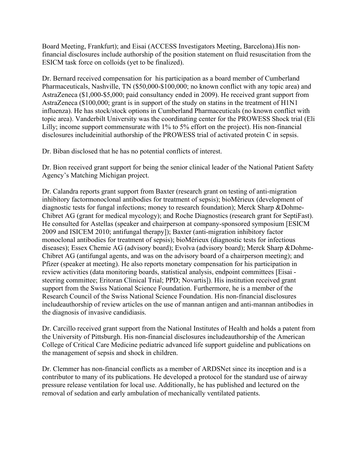Board Meeting, Frankfurt); and Eisai (ACCESS Investigators Meeting, Barcelona).His nonfinancial disclosures include authorship of the position statement on fluid resuscitation from the ESICM task force on colloids (yet to be finalized).

Dr. Bernard received compensation for his participation as a board member of Cumberland Pharmaceuticals, Nashville, TN (\$50,000-\$100,000; no known conflict with any topic area) and AstraZeneca (\$1,000-\$5,000; paid consultancy ended in 2009). He received grant support from AstraZeneca (\$100,000; grant is in support of the study on statins in the treatment of H1N1 influenza). He has stock/stock options in Cumberland Pharmaceuticals (no known conflict with topic area). Vanderbilt University was the coordinating center for the PROWESS Shock trial (Eli Lilly; income support commensurate with 1% to 5% effort on the project). His non-financial disclosures includeinitial authorship of the PROWESS trial of activated protein C in sepsis.

Dr. Biban disclosed that he has no potential conflicts of interest.

Dr. Bion received grant support for being the senior clinical leader of the National Patient Safety Agency's Matching Michigan project.

Dr. Calandra reports grant support from Baxter (research grant on testing of anti-migration inhibitory factormonoclonal antibodies for treatment of sepsis); bioMérieux (development of diagnostic tests for fungal infections; money to research foundation); Merck Sharp &Dohme-Chibret AG (grant for medical mycology); and Roche Diagnostics (research grant for SeptiFast). He consulted for Astellas (speaker and chairperson at company-sponsored symposium [ESICM 2009 and ISICEM 2010; antifungal therapy]); Baxter (anti-migration inhibitory factor monoclonal antibodies for treatment of sepsis); bioMérieux (diagnostic tests for infectious diseases); Essex Chemie AG (advisory board); Evolva (advisory board); Merck Sharp &Dohme-Chibret AG (antifungal agents, and was on the advisory board of a chairperson meeting); and Pfizer (speaker at meeting). He also reports monetary compensation for his participation in review activities (data monitoring boards, statistical analysis, endpoint committees [Eisai steering committee; Eritoran Clinical Trial; PPD; Novartis]). His institution received grant support from the Swiss National Science Foundation. Furthermore, he is a member of the Research Council of the Swiss National Science Foundation. His non-financial disclosures includeauthorship of review articles on the use of mannan antigen and anti-mannan antibodies in the diagnosis of invasive candidiasis.

Dr. Carcillo received grant support from the National Institutes of Health and holds a patent from the University of Pittsburgh. His non-financial disclosures includeauthorship of the American College of Critical Care Medicine pediatric advanced life support guideline and publications on the management of sepsis and shock in children.

Dr. Clemmer has non-financial conflicts as a member of ARDSNet since its inception and is a contributor to many of its publications. He developed a protocol for the standard use of airway pressure release ventilation for local use. Additionally, he has published and lectured on the removal of sedation and early ambulation of mechanically ventilated patients.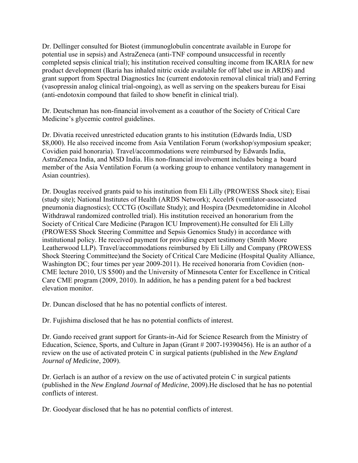Dr. Dellinger consulted for Biotest (immunoglobulin concentrate available in Europe for potential use in sepsis) and AstraZeneca (anti-TNF compound unsuccessful in recently completed sepsis clinical trial); his institution received consulting income from IKARIA for new product development (Ikaria has inhaled nitric oxide available for off label use in ARDS) and grant support from Spectral Diagnostics Inc (current endotoxin removal clinical trial) and Ferring (vasopressin analog clinical trial-ongoing), as well as serving on the speakers bureau for Eisai (anti-endotoxin compound that failed to show benefit in clinical trial).

Dr. Deutschman has non-financial involvement as a coauthor of the Society of Critical Care Medicine's glycemic control guidelines.

Dr. Divatia received unrestricted education grants to his institution (Edwards India, USD \$8,000). He also received income from Asia Ventilation Forum (workshop/symposium speaker; Covidien paid honoraria). Travel/accommodations were reimbursed by Edwards India, AstraZeneca India, and MSD India. His non-financial involvement includes being a board member of the Asia Ventilation Forum (a working group to enhance ventilatory management in Asian countries).

Dr. Douglas received grants paid to his institution from Eli Lilly (PROWESS Shock site); Eisai (study site); National Institutes of Health (ARDS Network); Accelr8 (ventilator-associated pneumonia diagnostics); CCCTG (Oscillate Study); and Hospira (Dexmedetomidine in Alcohol Withdrawal randomized controlled trial). His institution received an honorarium from the Society of Critical Care Medicine (Paragon ICU Improvement).He consulted for Eli Lilly (PROWESS Shock Steering Committee and Sepsis Genomics Study) in accordance with institutional policy. He received payment for providing expert testimony (Smith Moore Leatherwood LLP). Travel/accommodations reimbursed by Eli Lilly and Company (PROWESS Shock Steering Committee)and the Society of Critical Care Medicine (Hospital Quality Alliance, Washington DC; four times per year 2009-2011). He received honoraria from Covidien (non-CME lecture 2010, US \$500) and the University of Minnesota Center for Excellence in Critical Care CME program (2009, 2010). In addition, he has a pending patent for a bed backrest elevation monitor.

Dr. Duncan disclosed that he has no potential conflicts of interest.

Dr. Fujishima disclosed that he has no potential conflicts of interest.

Dr. Gando received grant support for Grants-in-Aid for Science Research from the Ministry of Education, Science, Sports, and Culture in Japan (Grant # 2007-19390456). He is an author of a review on the use of activated protein C in surgical patients (published in the *New England Journal of Medicine*, 2009).

Dr. Gerlach is an author of a review on the use of activated protein C in surgical patients (published in the *New England Journal of Medicine*, 2009).He disclosed that he has no potential conflicts of interest.

Dr. Goodyear disclosed that he has no potential conflicts of interest.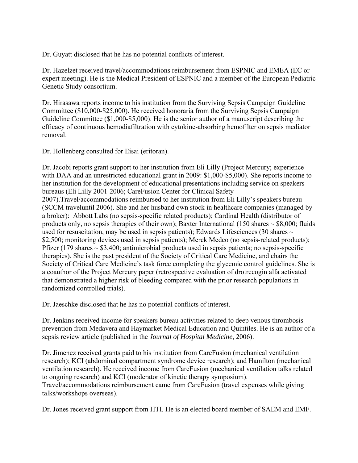Dr. Guyatt disclosed that he has no potential conflicts of interest.

Dr. Hazelzet received travel/accommodations reimbursement from ESPNIC and EMEA (EC or expert meeting). He is the Medical President of ESPNIC and a member of the European Pediatric Genetic Study consortium.

Dr. Hirasawa reports income to his institution from the Surviving Sepsis Campaign Guideline Committee (\$10,000-\$25,000). He received honoraria from the Surviving Sepsis Campaign Guideline Committee (\$1,000-\$5,000). He is the senior author of a manuscript describing the efficacy of continuous hemodiafiltration with cytokine-absorbing hemofilter on sepsis mediator removal.

Dr. Hollenberg consulted for Eisai (eritoran).

Dr. Jacobi reports grant support to her institution from Eli Lilly (Project Mercury; experience with DAA and an unrestricted educational grant in 2009: \$1,000-\$5,000). She reports income to her institution for the development of educational presentations including service on speakers bureaus (Eli Lilly 2001-2006; CareFusion Center for Clinical Safety 2007).Travel/accommodations reimbursed to her institution from Eli Lilly's speakers bureau (SCCM traveluntil 2006). She and her husband own stock in healthcare companies (managed by a broker): Abbott Labs (no sepsis-specific related products); Cardinal Health (distributor of products only, no sepsis therapies of their own); Baxter International (150 shares  $\sim$  \$8,000; fluids used for resuscitation, may be used in sepsis patients); Edwards Lifesciences (30 shares  $\sim$ \$2,500; monitoring devices used in sepsis patients); Merck Medco (no sepsis-related products); Pfizer (179 shares  $\sim$  \$3,400; antimicrobial products used in sepsis patients; no sepsis-specific therapies). She is the past president of the Society of Critical Care Medicine, and chairs the Society of Critical Care Medicine's task force completing the glycemic control guidelines. She is a coauthor of the Project Mercury paper (retrospective evaluation of drotrecogin alfa activated that demonstrated a higher risk of bleeding compared with the prior research populations in randomized controlled trials).

Dr. Jaeschke disclosed that he has no potential conflicts of interest.

Dr. Jenkins received income for speakers bureau activities related to deep venous thrombosis prevention from Medavera and Haymarket Medical Education and Quintiles. He is an author of a sepsis review article (published in the *Journal of Hospital Medicine*, 2006).

Dr. Jimenez received grants paid to his institution from CareFusion (mechanical ventilation research); KCI (abdominal compartment syndrome device research); and Hamilton (mechanical ventilation research). He received income from CareFusion (mechanical ventilation talks related to ongoing research) and KCI (moderator of kinetic therapy symposium). Travel/accommodations reimbursement came from CareFusion (travel expenses while giving talks/workshops overseas).

Dr. Jones received grant support from HTI. He is an elected board member of SAEM and EMF.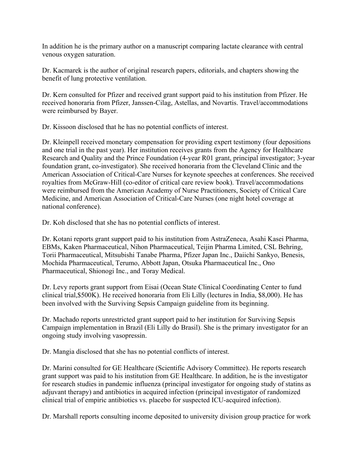In addition he is the primary author on a manuscript comparing lactate clearance with central venous oxygen saturation.

Dr. Kacmarek is the author of original research papers, editorials, and chapters showing the benefit of lung protective ventilation.

Dr. Kern consulted for Pfizer and received grant support paid to his institution from Pfizer. He received honoraria from Pfizer, Janssen-Cilag, Astellas, and Novartis. Travel/accommodations were reimbursed by Bayer.

Dr. Kissoon disclosed that he has no potential conflicts of interest.

Dr. Kleinpell received monetary compensation for providing expert testimony (four depositions and one trial in the past year). Her institution receives grants from the Agency for Healthcare Research and Quality and the Prince Foundation (4-year R01 grant, principal investigator; 3-year foundation grant, co-investigator). She received honoraria from the Cleveland Clinic and the American Association of Critical-Care Nurses for keynote speeches at conferences. She received royalties from McGraw-Hill (co-editor of critical care review book). Travel/accommodations were reimbursed from the American Academy of Nurse Practitioners, Society of Critical Care Medicine, and American Association of Critical-Care Nurses (one night hotel coverage at national conference).

Dr. Koh disclosed that she has no potential conflicts of interest.

Dr. Kotani reports grant support paid to his institution from AstraZeneca, Asahi Kasei Pharma, EBMs, Kaken Pharmaceutical, Nihon Pharmaceutical, Teijin Pharma Limited, CSL Behring, Torii Pharmaceutical, Mitsubishi Tanabe Pharma, Pfizer Japan Inc., Daiichi Sankyo, Benesis, Mochida Pharmaceutical, Terumo, Abbott Japan, Otsuka Pharmaceutical Inc., Ono Pharmaceutical, Shionogi Inc., and Toray Medical.

Dr. Levy reports grant support from Eisai (Ocean State Clinical Coordinating Center to fund clinical trial,\$500K). He received honoraria from Eli Lilly (lectures in India, \$8,000). He has been involved with the Surviving Sepsis Campaign guideline from its beginning.

Dr. Machado reports unrestricted grant support paid to her institution for Surviving Sepsis Campaign implementation in Brazil (Eli Lilly do Brasil). She is the primary investigator for an ongoing study involving vasopressin.

Dr. Mangia disclosed that she has no potential conflicts of interest.

Dr. Marini consulted for GE Healthcare (Scientific Advisory Committee). He reports research grant support was paid to his institution from GE Healthcare. In addition, he is the investigator for research studies in pandemic influenza (principal investigator for ongoing study of statins as adjuvant therapy) and antibiotics in acquired infection (principal investigator of randomized clinical trial of empiric antibiotics vs. placebo for suspected ICU-acquired infection).

Dr. Marshall reports consulting income deposited to university division group practice for work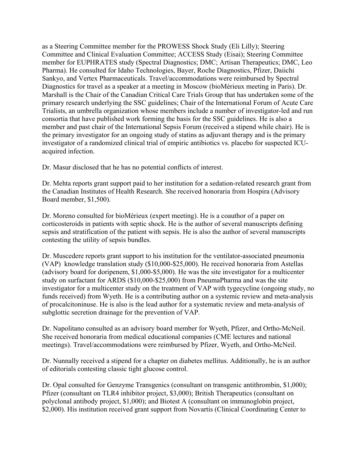as a Steering Committee member for the PROWESS Shock Study (Eli Lilly); Steering Committee and Clinical Evaluation Committee; ACCESS Study (Eisai); Steering Committee member for EUPHRATES study (Spectral Diagnostics; DMC; Artisan Therapeutics; DMC, Leo Pharma). He consulted for Idaho Technologies, Bayer, Roche Diagnostics, Pfizer, Daiichi Sankyo, and Vertex Pharmaceuticals. Travel/accommodations were reimbursed by Spectral Diagnostics for travel as a speaker at a meeting in Moscow (bioMérieux meeting in Paris). Dr. Marshall is the Chair of the Canadian Critical Care Trials Group that has undertaken some of the primary research underlying the SSC guidelines; Chair of the International Forum of Acute Care Trialists, an umbrella organization whose members include a number of investigator-led and run consortia that have published work forming the basis for the SSC guidelines. He is also a member and past chair of the International Sepsis Forum (received a stipend while chair). He is the primary investigator for an ongoing study of statins as adjuvant therapy and is the primary investigator of a randomized clinical trial of empiric antibiotics vs. placebo for suspected ICUacquired infection.

Dr. Masur disclosed that he has no potential conflicts of interest.

Dr. Mehta reports grant support paid to her institution for a sedation-related research grant from the Canadian Institutes of Health Research. She received honoraria from Hospira (Advisory Board member, \$1,500).

Dr. Moreno consulted for bioMérieux (expert meeting). He is a coauthor of a paper on corticosteroids in patients with septic shock. He is the author of several manuscripts defining sepsis and stratification of the patient with sepsis. He is also the author of several manuscripts contesting the utility of sepsis bundles.

Dr. Muscedere reports grant support to his institution for the ventilator-associated pneumonia (VAP) knowledge translation study (\$10,000-\$25,000). He received honoraria from Astellas (advisory board for doripenem, \$1,000-\$5,000). He was the site investigator for a multicenter study on surfactant for ARDS (\$10,000-\$25,000) from PneumaPharma and was the site investigator for a multicenter study on the treatment of VAP with tygecycline (ongoing study, no funds received) from Wyeth. He is a contributing author on a systemic review and meta-analysis of procalcitoninuse. He is also is the lead author for a systematic review and meta-analysis of subglottic secretion drainage for the prevention of VAP.

Dr. Napolitano consulted as an advisory board member for Wyeth, Pfizer, and Ortho-McNeil. She received honoraria from medical educational companies (CME lectures and national meetings). Travel/accommodations were reimbursed by Pfizer, Wyeth, and Ortho-McNeil.

Dr. Nunnally received a stipend for a chapter on diabetes mellitus. Additionally, he is an author of editorials contesting classic tight glucose control.

Dr. Opal consulted for Genzyme Transgenics (consultant on transgenic antithrombin, \$1,000); Pfizer (consultant on TLR4 inhibitor project, \$3,000); British Therapeutics (consultant on polyclonal antibody project, \$1,000); and Biotest A (consultant on immunoglobin project, \$2,000). His institution received grant support from Novartis (Clinical Coordinating Center to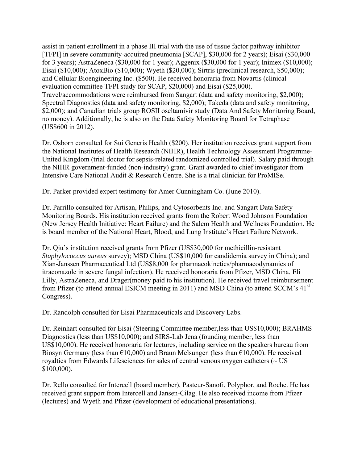assist in patient enrollment in a phase III trial with the use of tissue factor pathway inhibitor [TFPI] in severe community-acquired pneumonia [SCAP], \$30,000 for 2 years); Eisai (\$30,000 for 3 years); AstraZeneca (\$30,000 for 1 year); Aggenix (\$30,000 for 1 year); Inimex (\$10,000); Eisai (\$10,000); AtoxBio (\$10,000); Wyeth (\$20,000); Sirtris (preclinical research, \$50,000); and Cellular Bioengineering Inc. (\$500). He received honoraria from Novartis (clinical evaluation committee TFPI study for SCAP, \$20,000) and Eisai (\$25,000). Travel/accommodations were reimbursed from Sangart (data and safety monitoring, \$2,000); Spectral Diagnostics (data and safety monitoring, \$2,000); Takeda (data and safety monitoring, \$2,000); and Canadian trials group ROSII oseltamivir study (Data And Safety Monitoring Board, no money). Additionally, he is also on the Data Safety Monitoring Board for Tetraphase (US\$600 in 2012).

Dr. Osborn consulted for Sui Generis Health (\$200). Her institution receives grant support from the National Institutes of Health Research (NIHR), Health Technology Assessment Programme-United Kingdom (trial doctor for sepsis-related randomized controlled trial). Salary paid through the NIHR government-funded (non-industry) grant. Grant awarded to chief investigator from Intensive Care National Audit & Research Centre. She is a trial clinician for ProMISe.

Dr. Parker provided expert testimony for Amer Cunningham Co. (June 2010).

Dr. Parrillo consulted for Artisan, Philips, and Cytosorbents Inc. and Sangart Data Safety Monitoring Boards. His institution received grants from the Robert Wood Johnson Foundation (New Jersey Health Initiative: Heart Failure) and the Salem Health and Wellness Foundation. He is board member of the National Heart, Blood, and Lung Institute's Heart Failure Network.

Dr. Qiu's institution received grants from Pfizer (US\$30,000 for methicillin-resistant *Staphylococcus aureus* survey); MSD China (US\$10,000 for candidemia survey in China); and Xian-Janssen Pharmaceutical Ltd (US\$8,000 for pharmacokinetics/pharmacodynamics of itraconazole in severe fungal infection). He received honoraria from Pfizer, MSD China, Eli Lilly, AstraZeneca, and Drager(money paid to his institution). He received travel reimbursement from Pfizer (to attend annual ESICM meeting in 2011) and MSD China (to attend SCCM's 41st Congress).

Dr. Randolph consulted for Eisai Pharmaceuticals and Discovery Labs.

Dr. Reinhart consulted for Eisai (Steering Committee member,less than US\$10,000); BRAHMS Diagnostics (less than US\$10,000); and SIRS-Lab Jena (founding member, less than US\$10,000). He received honoraria for lectures, including service on the speakers bureau from Biosyn Germany (less than  $\epsilon$ 10,000) and Braun Melsungen (less than  $\epsilon$ 10,000). He received royalties from Edwards Lifesciences for sales of central venous oxygen catheters (~ US \$100,000).

Dr. Rello consulted for Intercell (board member), Pasteur-Sanofi, Polyphor, and Roche. He has received grant support from Intercell and Jansen-Cilag. He also received income from Pfizer (lectures) and Wyeth and Pfizer (development of educational presentations).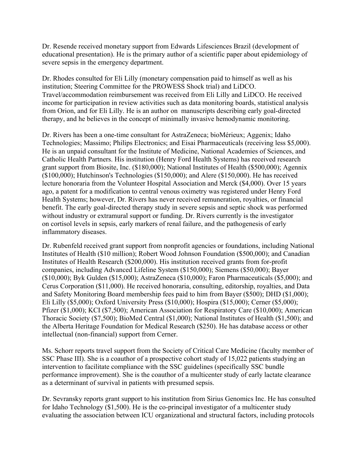Dr. Resende received monetary support from Edwards Lifesciences Brazil (development of educational presentation). He is the primary author of a scientific paper about epidemiology of severe sepsis in the emergency department.

Dr. Rhodes consulted for Eli Lilly (monetary compensation paid to himself as well as his institution; Steering Committee for the PROWESS Shock trial) and LiDCO. Travel/accommodation reimbursement was received from Eli Lilly and LiDCO. He received income for participation in review activities such as data monitoring boards, statistical analysis from Orion, and for Eli Lilly. He is an author on manuscripts describing early goal-directed therapy, and he believes in the concept of minimally invasive hemodynamic monitoring.

Dr. Rivers has been a one-time consultant for AstraZeneca; bioMérieux; Aggenix; Idaho Technologies; Massimo; Philips Electronics; and Eisai Pharmaceuticals (receiving less \$5,000). He is an unpaid consultant for the Institute of Medicine, National Academies of Sciences, and Catholic Health Partners. His institution (Henry Ford Health Systems) has received research grant support from Biosite, Inc. (\$180,000); National Institutes of Health (\$500,000); Agennix (\$100,000); Hutchinson's Technologies (\$150,000); and Alere (\$150,000). He has received lecture honoraria from the Volunteer Hospital Association and Merck (\$4,000). Over 15 years ago, a patent for a modification to central venous oximetry was registered under Henry Ford Health Systems; however, Dr. Rivers has never received remuneration, royalties, or financial benefit. The early goal-directed therapy study in severe sepsis and septic shock was performed without industry or extramural support or funding. Dr. Rivers currently is the investigator on cortisol levels in sepsis, early markers of renal failure, and the pathogenesis of early inflammatory diseases.

Dr. Rubenfeld received grant support from nonprofit agencies or foundations, including National Institutes of Health (\$10 million); Robert Wood Johnson Foundation (\$500,000); and Canadian Institutes of Health Research (\$200,000). His institution received grants from for-profit companies, including Advanced Lifeline System (\$150,000); Siemens (\$50,000); Bayer (\$10,000); Byk Gulden (\$15,000); AstraZeneca (\$10,000); Faron Pharmaceuticals (\$5,000); and Cerus Corporation (\$11,000). He received honoraria, consulting, editorship, royalties, and Data and Safety Monitoring Board membership fees paid to him from Bayer (\$500); DHD (\$1,000); Eli Lilly (\$5,000); Oxford University Press (\$10,000); Hospira (\$15,000); Cerner (\$5,000); Pfizer (\$1,000); KCI (\$7,500); American Association for Respiratory Care (\$10,000); American Thoracic Society (\$7,500); BioMed Central (\$1,000); National Institutes of Health (\$1,500); and the Alberta Heritage Foundation for Medical Research (\$250). He has database access or other intellectual (non-financial) support from Cerner.

Ms. Schorr reports travel support from the Society of Critical Care Medicine (faculty member of SSC Phase III). She is a coauthor of a prospective cohort study of 15,022 patients studying an intervention to facilitate compliance with the SSC guidelines (specifically SSC bundle performance improvement). She is the coauthor of a multicenter study of early lactate clearance as a determinant of survival in patients with presumed sepsis.

Dr. Sevransky reports grant support to his institution from Sirius Genomics Inc. He has consulted for Idaho Technology (\$1,500). He is the co-principal investigator of a multicenter study evaluating the association between ICU organizational and structural factors, including protocols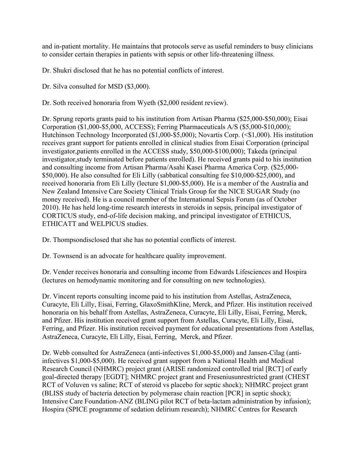and in-patient mortality. He maintains that protocols serve as useful reminders to busy clinicians to consider certain therapies in patients with sepsis or other life-threatening illness.

Dr. Shukri disclosed that he has no potential conflicts of interest.

Dr. Silva consulted for MSD (\$3,000).

Dr. Soth received honoraria from Wyeth (\$2,000 resident review).

Dr. Sprung reports grants paid to his institution from Artisan Pharma (\$25,000-\$50,000); Eisai Corporation (\$1,000-\$5,000, ACCESS); Ferring Pharmaceuticals A/S (\$5,000-\$10,000); Hutchinson Technology Incorporated (\$1,000-\$5,000); Novartis Corp. (<\$1,000). His institution receives grant support for patients enrolled in clinical studies from Eisai Corporation (principal investigator,patients enrolled in the ACCESS study, \$50,000-\$100,000); Takeda (principal investigator,study terminated before patients enrolled). He received grants paid to his institution and consulting income from Artisan Pharma/Asahi Kasei Pharma America Corp. (\$25,000- \$50,000). He also consulted for Eli Lilly (sabbatical consulting fee \$10,000-\$25,000), and received honoraria from Eli Lilly (lecture \$1,000-\$5,000). He is a member of the Australia and New Zealand Intensive Care Society Clinical Trials Group for the NICE SUGAR Study (no money received). He is a council member of the International Sepsis Forum (as of October 2010). He has held long-time research interests in steroids in sepsis, principal investigator of CORTICUS study, end-of-life decision making, and principal investigator of ETHICUS, ETHICATT and WELPICUS studies.

Dr. Thompsondisclosed that she has no potential conflicts of interest.

Dr. Townsend is an advocate for healthcare quality improvement.

Dr. Vender receives honoraria and consulting income from Edwards Lifesciences and Hospira (lectures on hemodynamic monitoring and for consulting on new technologies).

Dr. Vincent reports consulting income paid to his institution from Astellas, AstraZeneca, Curacyte, Eli Lilly, Eisai, Ferring, GlaxoSmithKline, Merck, and Pfizer. His institution received honoraria on his behalf from Astellas, AstraZeneca, Curacyte, Eli Lilly, Eisai, Ferring, Merck, and Pfizer. His institution received grant support from Astellas, Curacyte, Eli Lilly, Eisai, Ferring, and Pfizer. His institution received payment for educational presentations from Astellas, AstraZeneca, Curacyte, Eli Lilly, Eisai, Ferring, Merck, and Pfizer.

Dr. Webb consulted for AstraZeneca (anti-infectives \$1,000-\$5,000) and Jansen-Cilag (antiinfectives \$1,000-\$5,000). He received grant support from a National Health and Medical Research Council (NHMRC) project grant (ARISE randomized controlled trial [RCT] of early goal-directed therapy [EGDT]; NHMRC project grant and Freseniusunrestricted grant (CHEST RCT of Voluven vs saline; RCT of steroid vs placebo for septic shock); NHMRC project grant (BLISS study of bacteria detection by polymerase chain reaction [PCR] in septic shock); Intensive Care Foundation-ANZ (BLING pilot RCT of beta-lactam administration by infusion); Hospira (SPICE programme of sedation delirium research); NHMRC Centres for Research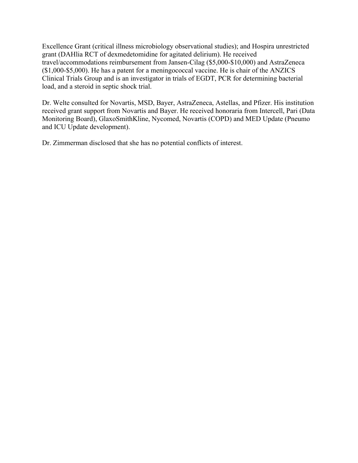Excellence Grant (critical illness microbiology observational studies); and Hospira unrestricted grant (DAHlia RCT of dexmedetomidine for agitated delirium). He received travel/accommodations reimbursement from Jansen-Cilag (\$5,000-\$10,000) and AstraZeneca (\$1,000-\$5,000). He has a patent for a meningococcal vaccine. He is chair of the ANZICS Clinical Trials Group and is an investigator in trials of EGDT, PCR for determining bacterial load, and a steroid in septic shock trial.

Dr. Welte consulted for Novartis, MSD, Bayer, AstraZeneca, Astellas, and Pfizer. His institution received grant support from Novartis and Bayer. He received honoraria from Intercell, Pari (Data Monitoring Board), GlaxoSmithKline, Nycomed, Novartis (COPD) and MED Update (Pneumo and ICU Update development).

Dr. Zimmerman disclosed that she has no potential conflicts of interest.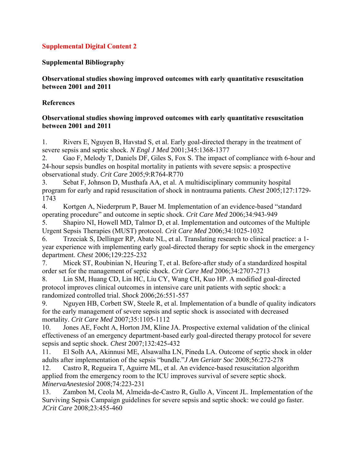## **Supplemental Bibliography**

## **Observational studies showing improved outcomes with early quantitative resuscitation between 2001 and 2011**

## **References**

## **Observational studies showing improved outcomes with early quantitative resuscitation between 2001 and 2011**

1. Rivers E, Nguyen B, Havstad S, et al. Early goal-directed therapy in the treatment of severe sepsis and septic shock. *N Engl J Med* 2001;345:1368-1377

2. Gao F, Melody T, Daniels DF, Giles S, Fox S. The impact of compliance with 6-hour and 24-hour sepsis bundles on hospital mortality in patients with severe sepsis: a prospective observational study. *Crit Care* 2005;9:R764-R770

3. Sebat F, Johnson D, Musthafa AA, et al. A multidisciplinary community hospital program for early and rapid resuscitation of shock in nontrauma patients. *Chest* 2005;127:1729- 1743

4. Kortgen A, Niederprum P, Bauer M. Implementation of an evidence-based "standard operating procedure" and outcome in septic shock. *Crit Care Med* 2006;34:943-949

5. Shapiro NI, Howell MD, Talmor D, et al. Implementation and outcomes of the Multiple Urgent Sepsis Therapies (MUST) protocol. *Crit Care Med* 2006;34:1025-1032

6. Trzeciak S, Dellinger RP, Abate NL, et al. Translating research to clinical practice: a 1 year experience with implementing early goal-directed therapy for septic shock in the emergency department. *Chest* 2006;129:225-232

7. Micek ST, Roubinian N, Heuring T, et al. Before-after study of a standardized hospital order set for the management of septic shock. *Crit Care Med* 2006;34:2707-2713

8. Lin SM, Huang CD, Lin HC, Liu CY, Wang CH, Kuo HP. A modified goal-directed protocol improves clinical outcomes in intensive care unit patients with septic shock: a randomized controlled trial. *Shock* 2006;26:551-557

9. Nguyen HB, Corbett SW, Steele R, et al. Implementation of a bundle of quality indicators for the early management of severe sepsis and septic shock is associated with decreased mortality. *Crit Care Med* 2007;35:1105-1112

10. Jones AE, Focht A, Horton JM, Kline JA. Prospective external validation of the clinical effectiveness of an emergency department-based early goal-directed therapy protocol for severe sepsis and septic shock. *Chest* 2007;132:425-432

11. El Solh AA, Akinnusi ME, Alsawalha LN, Pineda LA. Outcome of septic shock in older adults after implementation of the sepsis "bundle."*J Am Geriatr Soc* 2008;56:272-278

12. Castro R, Regueira T, Aguirre ML, et al. An evidence-based resuscitation algorithm applied from the emergency room to the ICU improves survival of severe septic shock. *MinervaAnestesiol* 2008;74:223-231

13. Zambon M, Ceola M, Almeida-de-Castro R, Gullo A, Vincent JL. Implementation of the Surviving Sepsis Campaign guidelines for severe sepsis and septic shock: we could go faster. *JCrit Care* 2008;23:455-460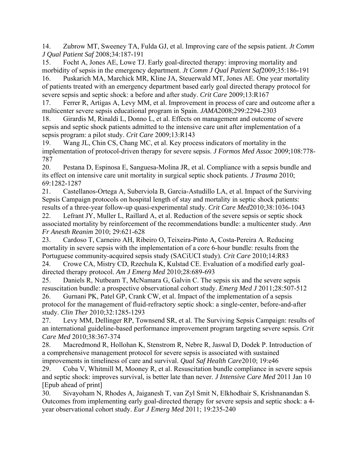14. Zubrow MT, Sweeney TA, Fulda GJ, et al. Improving care of the sepsis patient. *Jt Comm J Qual Patient Saf* 2008;34:187-191

15. Focht A, Jones AE, Lowe TJ. Early goal-directed therapy: improving mortality and morbidity of sepsis in the emergency department. *Jt Comm J Qual Patient Saf*2009;35:186-191

16. Puskarich MA, Marchick MR, Kline JA, Steuerwald MT, Jones AE. One year mortality of patients treated with an emergency department based early goal directed therapy protocol for severe sepsis and septic shock: a before and after study. *Crit Care* 2009;13:R167

17. Ferrer R, Artigas A, Levy MM, et al. Improvement in process of care and outcome after a multicenter severe sepsis educational program in Spain. *JAMA*2008;299:2294-2303

18. Girardis M, Rinaldi L, Donno L, et al. Effects on management and outcome of severe sepsis and septic shock patients admitted to the intensive care unit after implementation of a sepsis program: a pilot study. *Crit Care* 2009;13:R143

19. Wang JL, Chin CS, Chang MC, et al. Key process indicators of mortality in the implementation of protocol-driven therapy for severe sepsis. *J Formos Med Assoc* 2009;108:778- 787

20. Pestana D, Espinosa E, Sanguesa-Molina JR, et al. Compliance with a sepsis bundle and its effect on intensive care unit mortality in surgical septic shock patients. *J Trauma* 2010; 69:1282-1287

21. Castellanos-Ortega A, Suberviola B, Garcia-Astudillo LA, et al. Impact of the Surviving Sepsis Campaign protocols on hospital length of stay and mortality in septic shock patients: results of a three-year follow-up quasi-experimental study. *Crit Care Med*2010;38:1036-1043

22. Lefrant JY, Muller L, Raillard A, et al. Reduction of the severe sepsis or septic shock associated mortality by reinforcement of the recommendations bundle: a multicenter study. *Ann Fr Anesth Reanim* 2010; 29:621-628

23. Cardoso T, Carneiro AH, Ribeiro O, Teixeira-Pinto A, Costa-Pereira A. Reducing mortality in severe sepsis with the implementation of a core 6-hour bundle: results from the Portuguese community-acquired sepsis study (SACiUCI study). *Crit Care* 2010;14:R83

24. Crowe CA, Mistry CD, Rzechula K, Kulstad CE. Evaluation of a modified early goaldirected therapy protocol. *Am J Emerg Med* 2010;28:689-693

25. Daniels R, Nutbeam T, McNamara G, Galvin C. The sepsis six and the severe sepsis resuscitation bundle: a prospective observational cohort study. *Emerg Med J* 2011;28:507-512

26. Gurnani PK, Patel GP, Crank CW, et al. Impact of the implementation of a sepsis protocol for the management of fluid-refractory septic shock: a single-center, before-and-after study. *Clin Ther* 2010;32:1285-1293

27. Levy MM, Dellinger RP, Townsend SR, et al. The Surviving Sepsis Campaign: results of an international guideline-based performance improvement program targeting severe sepsis. *Crit Care Med* 2010;38:367-374

28. Macredmond R, Hollohan K, Stenstrom R, Nebre R, Jaswal D, Dodek P. Introduction of a comprehensive management protocol for severe sepsis is associated with sustained improvements in timeliness of care and survival. *Qual Saf Health Care*2010; 19:e46

29. Coba V, Whitmill M, Mooney R, et al. Resuscitation bundle compliance in severe sepsis and septic shock: improves survival, is better late than never. *J Intensive Care Med* 2011 Jan 10 [Epub ahead of print]

30. Sivayoham N, Rhodes A, Jaiganesh T, van Zyl Smit N, Elkhodhair S, Krishnanandan S. Outcomes from implementing early goal-directed therapy for severe sepsis and septic shock: a 4 year observational cohort study. *Eur J Emerg Med* 2011; 19:235-240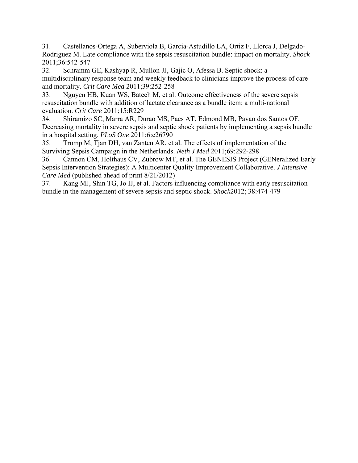31. Castellanos-Ortega A, Suberviola B, Garcia-Astudillo LA, Ortiz F, Llorca J, Delgado-Rodriguez M. Late compliance with the sepsis resuscitation bundle: impact on mortality. *Shock* 2011;36:542-547

32. Schramm GE, Kashyap R, Mullon JJ, Gajic O, Afessa B. Septic shock: a multidisciplinary response team and weekly feedback to clinicians improve the process of care and mortality. *Crit Care Med* 2011;39:252-258

33. Nguyen HB, Kuan WS, Batech M, et al. Outcome effectiveness of the severe sepsis resuscitation bundle with addition of lactate clearance as a bundle item: a multi-national evaluation. *Crit Care* 2011;15:R229

34. Shiramizo SC, Marra AR, Durao MS, Paes AT, Edmond MB, Pavao dos Santos OF. Decreasing mortality in severe sepsis and septic shock patients by implementing a sepsis bundle in a hospital setting. *PLoS One* 2011;6:e26790

35. Tromp M, Tjan DH, van Zanten AR, et al. The effects of implementation of the Surviving Sepsis Campaign in the Netherlands. *Neth J Med* 2011;69:292-298

36. Cannon CM, Holthaus CV, Zubrow MT, et al. The GENESIS Project (GENeralized Early Sepsis Intervention Strategies): A Multicenter Quality Improvement Collaborative. *J Intensive Care Med* (published ahead of print 8/21/2012)

37. Kang MJ, Shin TG, Jo IJ, et al. Factors influencing compliance with early resuscitation bundle in the management of severe sepsis and septic shock. *Shock*2012; 38:474-479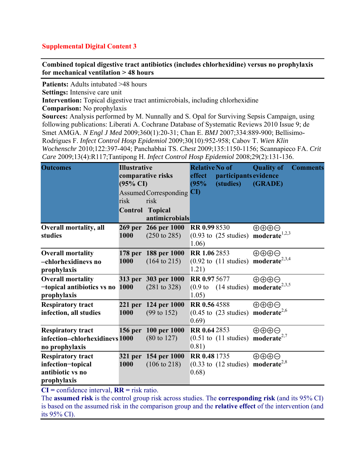**Combined topical digestive tract antibiotics (includes chlorhexidine) versus no prophylaxis for mechanical ventilation > 48 hours** 

**Patients:** Adults intubated >48 hours

**Settings:** Intensive care unit

**Intervention:** Topical digestive tract antimicrobials, including chlorhexidine

**Comparison:** No prophylaxis

**Sources:** Analysis performed by M. Nunnally and S. Opal for Surviving Sepsis Campaign, using following publications: Liberati A. Cochrane Database of Systematic Reviews 2010 Issue 9; de Smet AMGA. *N Engl J Med* 2009;360(1):20-31; Chan E. *BMJ* 2007;334:889-900; Bellisimo-Rodrigues F. *Infect Control Hosp Epidemiol* 2009;30(10):952-958; Cabov T. *Wien Klin Wochenschr* 2010;122:397-404; Panchabhai TS. *Chest* 2009;135:1150-1156; Scannapieco FA. *Crit Care* 2009;13(4):R117;Tantipong H. *Infect Control Hosp Epidemiol* 2008;29(2):131-136.

| <b>Outcomes</b>                                                                  | <b>Illustrative</b><br>comparative risks<br>$(95\% \text{ CI})$ |                                                | <b>Relative No of</b><br>effect<br>(95% | participants evidence<br>(studies)       | <b>Quality of</b><br>(GRADE)                                                                        | <b>Comments</b> |
|----------------------------------------------------------------------------------|-----------------------------------------------------------------|------------------------------------------------|-----------------------------------------|------------------------------------------|-----------------------------------------------------------------------------------------------------|-----------------|
|                                                                                  | risk                                                            | Assumed Corresponding CI<br>risk               |                                         |                                          |                                                                                                     |                 |
|                                                                                  |                                                                 | <b>Control Topical</b><br>antimicrobials       |                                         |                                          |                                                                                                     |                 |
| <b>Overall mortality, all</b><br>studies                                         | <b>269 per</b><br>1000                                          | 266 per 1000<br>$(250 \text{ to } 285)$        | <b>RR 0.998530</b><br>1.06)             | $(0.93 \text{ to } (25 \text{ studies})$ | $\oplus \oplus \oplus \ominus$<br>moderate $1,2,3$                                                  |                 |
| <b>Overall mortality</b><br>-chlorhexidinevs no<br>prophylaxis                   | <b>178 per</b><br>1000                                          | 188 per 1000<br>$(164 \text{ to } 215)$        | RR 1.06 2853<br>1.21)                   | $(0.92 \text{ to } (11 \text{ studies})$ | $\oplus \oplus \oplus \ominus$<br>$\mathbf{moderate}^{\mathbb{Z},3,4}$                              |                 |
| <b>Overall mortality</b><br>-topical antibiotics vs no<br>prophylaxis            | <b>313 per</b><br>1000                                          | 303 per 1000<br>$(281 \text{ to } 328)$        | <b>RR 0.975677</b><br>1.05)             |                                          | $\oplus \oplus \oplus \ominus$<br>$(0.9 \text{ to } (14 \text{ studies}) \text{ moderate}^{2,3,5})$ |                 |
| <b>Respiratory tract</b><br>infection, all studies                               | 1000                                                            | 221 per 124 per 1000<br>$(99 \text{ to } 152)$ | <b>RR 0.564588</b><br>(0.69)            | $(0.45 \text{ to } (23 \text{ studies})$ | $\oplus \oplus \oplus \ominus$<br>$moderate^{2,6}$                                                  |                 |
| <b>Respiratory tract</b><br>infection-chlorhexidinevs 1000<br>no prophylaxis     | <b>156 per</b>                                                  | 100 per 1000<br>$(80 \text{ to } 127)$         | <b>RR 0.642853</b><br>0.81)             | $(0.51 \text{ to } (11 \text{ studies})$ | $\oplus \oplus \oplus \ominus$<br>moderate $2,7$                                                    |                 |
| <b>Respiratory tract</b><br>infection-topical<br>antibiotic vs no<br>prophylaxis | 321 per<br>1000                                                 | 154 per 1000<br>$(106 \text{ to } 218)$        | <b>RR 0.48 1735</b><br>(0.68)           | $(0.33 \text{ to } (12 \text{ studies})$ | ⊕⊕⊕⊝<br>$moderate^{2,8}$                                                                            |                 |

**CI =** confidence interval, **RR =** risk ratio.

The **assumed risk** is the control group risk across studies. The **corresponding risk** (and its 95% CI) is based on the assumed risk in the comparison group and the **relative effect** of the intervention (and its 95% CI).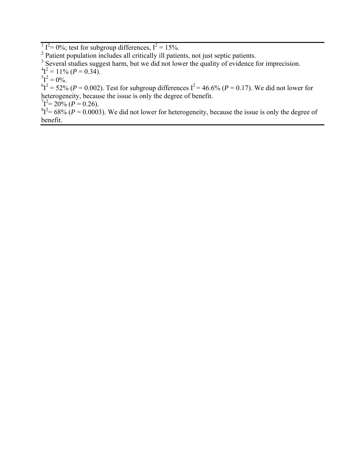$1^2 = 0\%$ ; test for subgroup differences,  $I^2 = 15\%$ .

<sup>2</sup> Patient population includes all critically ill patients, not just septic patients.

<sup>3</sup> Several studies suggest harm, but we did not lower the quality of evidence for imprecision.

 $^{4}I^{2} = 11\% (P = 0.34).$ 

 ${}^{5}I^{2} = 0\%$ .

 ${}^{6}I^{2} = 52\%$  (*P* = 0.002). Test for subgroup differences  $I^{2} = 46.6\%$  (*P* = 0.17). We did not lower for heterogeneity, because the issue is only the degree of benefit.

 $T^2 = 20\%$  (*P* = 0.26).

 ${}^{8}I^{2}=68\%$  ( $P=0.0003$ ). We did not lower for heterogeneity, because the issue is only the degree of benefit.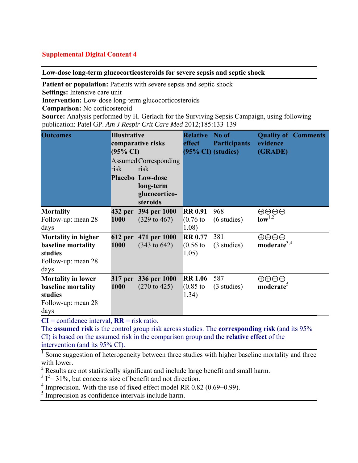**Low-dose long-term glucocorticosteroids for severe sepsis and septic shock** 

**Patient or population:** Patients with severe sepsis and septic shock

**Settings:** Intensive care unit

**Intervention:** Low-dose long-term glucocorticosteroids

**Comparison:** No corticosteroid

**Source:** Analysis performed by H. Gerlach for the Surviving Sepsis Campaign, using following publication: Patel GP. *Am J Respir Crit Care Med* 2012;185:133-139

| <b>Outcomes</b>                                                                           | <b>Illustrative</b><br>$(95\% \text{ CI})$<br>risk | comparative risks<br>Assumed Corresponding<br>risk<br><b>Placebo Low-dose</b><br>long-term<br>glucocortico-<br>steroids | <b>Relative</b><br>effect<br>$(95\% \text{ CI})$ (studies) | No of<br><b>Participants</b> | evidence<br>(GRADE)                                     | <b>Quality of Comments</b> |
|-------------------------------------------------------------------------------------------|----------------------------------------------------|-------------------------------------------------------------------------------------------------------------------------|------------------------------------------------------------|------------------------------|---------------------------------------------------------|----------------------------|
| <b>Mortality</b><br>Follow-up: mean 28<br>days                                            | 432 per<br>1000                                    | 394 per 1000<br>$(329 \text{ to } 467)$                                                                                 | <b>RR 0.91</b><br>$(0.76)$ to<br>1.08)                     | 968<br>$(6 \text{ studies})$ | $\oplus \oplus \ominus \ominus$<br>$low^{1,2}$          |                            |
| <b>Mortality in higher</b><br>baseline mortality<br>studies<br>Follow-up: mean 28<br>days | <b>612 per</b><br>1000                             | 471 per 1000<br>$(343 \text{ to } 642)$                                                                                 | <b>RR 0.77</b><br>$(0.56)$ to<br>1.05)                     | 381<br>(3 studies)           | $\oplus \oplus \oplus \ominus$<br>moderate $3,4$        |                            |
| <b>Mortality in lower</b><br>baseline mortality<br>studies<br>Follow-up: mean 28<br>days  | 1000                                               | 317 per 336 per 1000<br>$(270 \text{ to } 425)$                                                                         | <b>RR 1.06</b><br>$(0.85)$ to<br>1.34)                     | 587<br>(3 studies)           | $\oplus \oplus \oplus \ominus$<br>moderate <sup>5</sup> |                            |

**CI =** confidence interval, **RR =** risk ratio.

The **assumed risk** is the control group risk across studies. The **corresponding risk** (and its 95% CI) is based on the assumed risk in the comparison group and the **relative effect** of the intervention (and its 95% CI).

<sup>1</sup> Some suggestion of heterogeneity between three studies with higher baseline mortality and three with lower.

 $2^2$  Results are not statistically significant and include large benefit and small harm.

 $3 I<sup>2</sup> = 31\%$ , but concerns size of benefit and not direction.

4 Imprecision. With the use of fixed effect model RR 0.82 (0.69−0.99).

<sup>5</sup> Imprecision as confidence intervals include harm.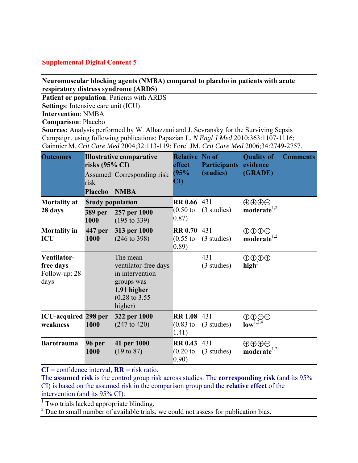## **Neuromuscular blocking agents (NMBA) compared to placebo in patients with acute respiratory distress syndrome (ARDS)**

**Patient or population**: Patients with ARDS **Settings**: Intensive care unit (ICU)

**Intervention**: NMBA

**Comparison**: Placebo

**Sources:** Analysis performed by W. Alhazzani and J. Sevransky for the Surviving Sepsis Campaign, using following publications: Papazian L*. N Engl J Med* 2010;363:1107-1116; Gainnier M. *Crit Care Med* 2004;32:113-119; Forel JM. *Crit Care Med* 2006;34:2749-2757.

| <b>Outcomes</b>                                   | <b>Illustrative comparative</b><br>risks $(95\% \text{ CI})$<br>Assumed Corresponding risk<br>risk |                                                                                                                          | <b>Relative No of</b><br>effect<br>(95%<br>$\overline{\text{CD}}$ | <b>Participants</b><br>(studies) | <b>Quality of</b><br>evidence<br>(GRADE)         | <b>Comments</b> |
|---------------------------------------------------|----------------------------------------------------------------------------------------------------|--------------------------------------------------------------------------------------------------------------------------|-------------------------------------------------------------------|----------------------------------|--------------------------------------------------|-----------------|
|                                                   | <b>Placebo</b>                                                                                     | <b>NMBA</b>                                                                                                              |                                                                   |                                  |                                                  |                 |
| <b>Mortality at</b>                               | <b>Study population</b>                                                                            |                                                                                                                          | <b>RR 0.66 431</b>                                                |                                  | ⊕⊕⊕⊝                                             |                 |
| 28 days                                           | <b>389 per</b><br>1000                                                                             | 257 per 1000<br>$(195 \text{ to } 339)$                                                                                  | $(0.50)$ to<br>0.87)                                              | (3 studies)                      | $moderate^{1,2}$                                 |                 |
| <b>Mortality in</b><br><b>ICU</b>                 | 447 per<br>1000                                                                                    | 313 per 1000<br>$(246 \text{ to } 398)$                                                                                  | RR 0.70 431<br>$(0.55)$ to<br>0.89)                               | (3 studies)                      | $\oplus \oplus \oplus \ominus$<br>moderate $1,2$ |                 |
| Ventilator-<br>free days<br>Follow-up: 28<br>days |                                                                                                    | The mean<br>ventilator-free days<br>in intervention<br>groups was<br>1.91 higher<br>$(0.28 \text{ to } 3.55)$<br>higher) |                                                                   | 431<br>(3 studies)               | ⊕⊕⊕⊕<br>high <sup>3</sup>                        |                 |
| <b>ICU-acquired</b> 298 per<br>weakness           | 1000                                                                                               | 322 per 1000<br>$(247 \text{ to } 420)$                                                                                  | <b>RR 1.08 431</b><br>$(0.83)$ to<br>1.41)                        | (3 studies)                      | $\bigoplus_{\textbf{low}^{1,2,4}}\bigoplus$      |                 |
| <b>Barotrauma</b>                                 | 96 per<br>1000                                                                                     | 41 per 1000<br>$(19 \text{ to } 87)$                                                                                     | RR 0.43 431<br>$(0.20)$ to<br>0.90)                               | (3 studies)                      | ⊕⊕⊕⊝<br>$moderate^{1,2}$                         |                 |

**CI =** confidence interval, **RR =** risk ratio.

The **assumed risk** is the control group risk across studies. The **corresponding risk** (and its 95% CI) is based on the assumed risk in the comparison group and the **relative effect** of the intervention (and its 95% CI).

<sup>1</sup> Two trials lacked appropriate blinding.

<sup>2</sup> Due to small number of available trials, we could not assess for publication bias.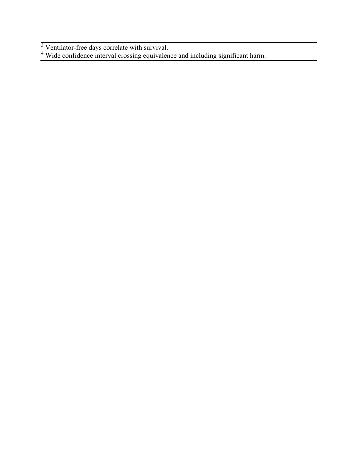Ventilator-free days correlate with survival.<br>
<sup>4</sup> Wide confidence interval crossing equivalence and including significant harm.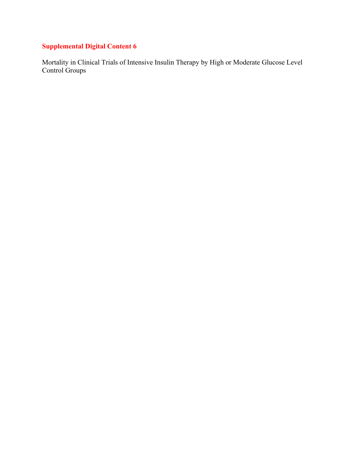Mortality in Clinical Trials of Intensive Insulin Therapy by High or Moderate Glucose Level Control Groups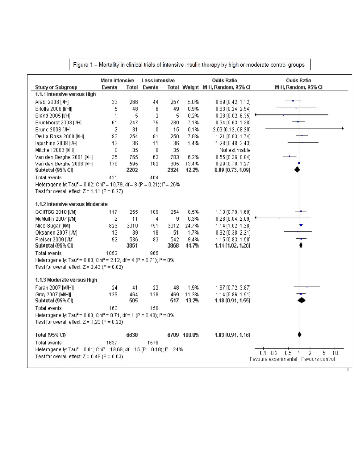|                                                                                                            | More intensive |      | Less intensive      |      |             | <b>Odds Ratio</b>                | <b>Odds Ratio</b>                           |
|------------------------------------------------------------------------------------------------------------|----------------|------|---------------------|------|-------------|----------------------------------|---------------------------------------------|
| <b>Study or Subgroup</b>                                                                                   | Events         |      | <b>Total Events</b> |      |             | Total Weight M-H, Random, 95% CI | M-H, Random, 95% CI                         |
| 1.1.1 Intensive versus High                                                                                |                |      |                     |      |             |                                  |                                             |
| Arabi 2008 [I/H]                                                                                           | 33             | 266  | 44                  | 257  | 5.0%        | 0.69 [0.42, 1.12]                |                                             |
| Bilotta 2008 [I/H]]                                                                                        | 5              | 48   | 6                   | 49   | 0.9%        | 0.83 [0.24, 2.94]                |                                             |
| Bland 2005 [I/H]                                                                                           | 1              | 5    | 2                   | 5    | 0.2%        | $0.38$ [0.02, 6.35]              |                                             |
| Brunkhorst 2008 [I/H]                                                                                      | 61             | 247  | 75                  | 289  | 7.1%        | $0.94$ [0.63, 1.38]              |                                             |
| Bruno 2008 [I/H]                                                                                           | $\overline{2}$ | 31   | 0                   | 15   | 0.1%        | 2.63 [0.12, 58.20]               |                                             |
| De La Rosa 2008 [I/H]                                                                                      | 93             | 254  | 81                  | 250  | 7.8%        | 1.21 [0.83, 1.74]                |                                             |
| lapichino 2008 [I/H]                                                                                       | 13             | 36   | 11                  | 36   | 1.4%        | 1.28 [0.48, 3.43]                |                                             |
| Mitchell 2006 [I/H]                                                                                        | 0              | 35   | 0                   | 35   |             | Not estimable                    |                                             |
| Van den Berghe 2001 [I/H]                                                                                  | 35             | 765  | 63                  | 783  | 6.2%        | $0.55$ [0.36, 0.84]              |                                             |
| Van den Berghe 2006 [I/H]                                                                                  | 178            | 595  | 182                 | 605  | 13.4%       | 0.99 [0.78, 1.27]                |                                             |
| Subtotal (95% CI)                                                                                          |                | 2282 |                     | 2324 | 42.2%       | $0.89$ [0.73, 1.09]              |                                             |
| <b>Total events</b>                                                                                        | 421            |      | 464                 |      |             |                                  |                                             |
| Heterogeneity: Tau <sup>2</sup> = 0.02; Chi <sup>2</sup> = 10.79, df = 8 (P = 0.21); l <sup>2</sup> = 26%  |                |      |                     |      |             |                                  |                                             |
| Test for overall effect: $Z = 1.11$ (P = 0.27)                                                             |                |      |                     |      |             |                                  |                                             |
|                                                                                                            |                |      |                     |      |             |                                  |                                             |
| 1.1.2 Intensive versus Moderate                                                                            |                |      |                     |      |             |                                  |                                             |
| COIITSS 2010 [I/M]                                                                                         | 117            | 255  | 109                 | 254  | 8.5%        | 1.13 [0.79, 1.60]                |                                             |
| McMullin 2007 [I/M]                                                                                        | 2              | 11   | 4                   | 9    | 0.3%        | $0.28$ [0.04, 2.09]              |                                             |
| Nice-Sugar [I/M]                                                                                           | 829            | 3010 | 751                 | 3012 | 24.7%       | 1.14 [1.02, 1.28]                |                                             |
| Oksanen 2007 [I/M]                                                                                         | 13             | 39   | 18                  | 51   | 1.7%        | 0.92 [0.38, 2.21]                |                                             |
| Preiser 2009 [I/M]                                                                                         | 92             | 536  | 83                  | 542  | 9.4%        | 1.15 [0.83, 1.58]                |                                             |
| Subtotal (95% CI)                                                                                          |                | 3851 |                     | 3868 | 44.7%       | 1.14 [1.02, 1.26]                |                                             |
| Total events                                                                                               | 1053           |      | 965                 |      |             |                                  |                                             |
| Heterogeneity: Tau <sup>2</sup> = 0.00; Chi <sup>2</sup> = 2.12, df = 4 (P = 0.71); $P = 0\%$              |                |      |                     |      |             |                                  |                                             |
| Test for overall effect: $Z = 2.43$ (P = 0.02)                                                             |                |      |                     |      |             |                                  |                                             |
|                                                                                                            |                |      |                     |      |             |                                  |                                             |
| 1.1.3 Moderate versus High                                                                                 |                |      |                     |      |             |                                  |                                             |
| Farah 2007 [M/H]]                                                                                          | 24             | 41   | 22                  | 48   | 1.9%        | 1.67 [0.72, 3.87]                |                                             |
| Gray 2007 [M/H]]                                                                                           | 139            | 464  | 128                 | 469  | 11.3%       | 1.14 [0.86, 1.51]                |                                             |
| Subtotal (95% CI)                                                                                          |                | 505  |                     | 517  | 13.2%       | 1.18 [0.91, 1.55]                |                                             |
| <b>Total events</b>                                                                                        | 163            |      | 150                 |      |             |                                  |                                             |
| Heterogeneity: Tau <sup>2</sup> = 0.00; Chi <sup>2</sup> = 0.71, df = 1 (P = 0.40); $P = 0%$               |                |      |                     |      |             |                                  |                                             |
| Test for overall effect: $Z = 1.23$ (P = 0.22)                                                             |                |      |                     |      |             |                                  |                                             |
|                                                                                                            |                |      |                     |      |             |                                  |                                             |
| Total (95% CI)                                                                                             |                | 6638 |                     |      | 6709 100.0% | 1.03 [0.91, 1.16]                |                                             |
| Total events                                                                                               | 1637           |      | 1579                |      |             |                                  |                                             |
| Heterogeneity: Tau <sup>2</sup> = 0.01; Chi <sup>2</sup> = 19.69, df = 15 (P = 0.18); l <sup>2</sup> = 24% |                |      |                     |      |             |                                  | 0.5<br>0.2<br>ż                             |
| Test for overall effect: $Z = 0.48$ (P = 0.63)                                                             |                |      |                     |      |             |                                  | 0.1<br>Favours experimental Favours control |

Figure 1 - Mortality in clinical trials of intensive insulin therapy by high or moderate control groups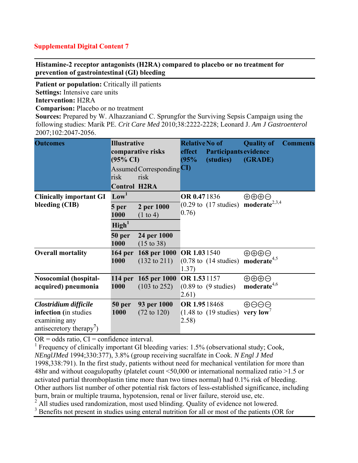**Histamine-2 receptor antagonists (H2RA) compared to placebo or no treatment for prevention of gastrointestinal (GI) bleeding** 

**Patient or population:** Critically ill patients **Settings:** Intensive care units **Intervention:** H2RA **Comparison:** Placebo or no treatment

**Sources:** Prepared by W. Alhazzaniand C. Sprungfor the Surviving Sepsis Campaign using the following studies: Marik PE. *Crit Care Med* 2010;38:2222-2228; Leonard J. *Am J Gastroenterol* 2007;102:2047-2056.

| <b>Outcomes</b>                                                                                         | <b>Illustrative</b><br>comparative risks<br>$(95\% \text{ CI})$<br>Assumed Corresponding CI<br>risk<br>risk<br><b>Control H2RA</b> |                                                                                         | <b>Relative No of</b><br>effect<br>(95% | Participants evidence<br>(studies)       | <b>Quality of</b><br>(GRADE)                              | <b>Comments</b> |
|---------------------------------------------------------------------------------------------------------|------------------------------------------------------------------------------------------------------------------------------------|-----------------------------------------------------------------------------------------|-----------------------------------------|------------------------------------------|-----------------------------------------------------------|-----------------|
| <b>Clinically important GI</b><br>bleeding (CIB)                                                        | Low <sup>1</sup><br>5 per<br>1000<br>$\text{High}^1$                                                                               | 2 per 1000<br>$(1 \text{ to } 4)$                                                       | <b>OR 0.471836</b><br>0.76)             | $(0.29 \text{ to } (17 \text{ studies})$ | $\oplus \oplus \oplus \ominus$<br>moderate $2,3,4$        |                 |
| <b>Overall mortality</b>                                                                                | 50 per<br>1000<br>1000                                                                                                             | 24 per 1000<br>$(15 \text{ to } 38)$<br>164 per 168 per 1000<br>$(132 \text{ to } 211)$ | OR 1.03 1540<br>1.37)                   | $(0.78 \text{ to } (14 \text{ studies})$ | $\oplus \oplus \oplus \ominus$<br>moderate <sup>4,5</sup> |                 |
| <b>Nosocomial (hospital-</b><br>acquired) pneumonia                                                     | 1000                                                                                                                               | 114 per 165 per 1000<br>$(103 \text{ to } 252)$                                         | OR 1.531157<br>2.61)                    | $(0.89 \text{ to } (9 \text{ studies}))$ | $\oplus \oplus \oplus \ominus$<br>moderate <sup>4,6</sup> |                 |
| Clostridium difficile<br>infection (in studies<br>examining any<br>antisecretory therapy <sup>'</sup> ) | 50 per<br>1000                                                                                                                     | 93 per 1000<br>$(72 \text{ to } 120)$                                                   | OR 1.9518468<br>2.58)                   | $(1.48 \text{ to } (19 \text{ studies})$ | $\oplus$ $\ominus$ $\ominus$<br>very low                  |                 |

 $OR = odds ratio$ .  $CI = confidence interval$ .

<sup>1</sup> Frequency of clinically important GI bleeding varies: 1.5% (observational study; Cook, *NEnglJMed* 1994;330:377), 3.8% (group receiving sucralfate in Cook. *N Engl J Med* 1998,338:791). In the first study, patients without need for mechanical ventilation for more than 48hr and without coagulopathy (platelet count <50,000 or international normalized ratio >1.5 or activated partial thromboplastin time more than two times normal) had 0.1% risk of bleeding. Other authors list number of other potential risk factors of less-established significance, including burn, brain or multiple trauma, hypotension, renal or liver failure, steroid use, etc.

<sup>2</sup> All studies used randomization, most used blinding. Quality of evidence not lowered.

<sup>3</sup> Benefits not present in studies using enteral nutrition for all or most of the patients (OR for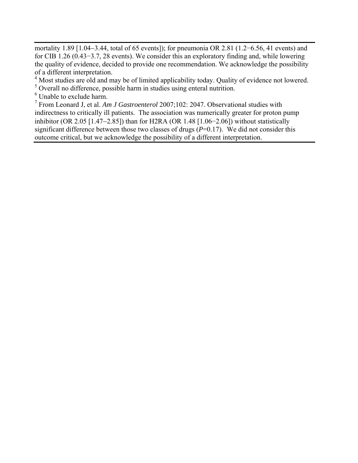mortality 1.89 [1.04−3.44, total of 65 events]); for pneumonia OR 2.81 (1.2−6.56, 41 events) and for CIB 1.26 (0.43−3.7, 28 events). We consider this an exploratory finding and, while lowering the quality of evidence, decided to provide one recommendation. We acknowledge the possibility of a different interpretation.

<sup>4</sup> Most studies are old and may be of limited applicability today. Quality of evidence not lowered.

<sup>5</sup> Overall no difference, possible harm in studies using enteral nutrition.

<sup>6</sup> Unable to exclude harm.

7 From Leonard J, et al. *Am J Gastroenterol* 2007;102: 2047. Observational studies with indirectness to critically ill patients. The association was numerically greater for proton pump inhibitor (OR 2.05 [1.47−2.85]) than for H2RA (OR 1.48 [1.06−2.06]) without statistically significant difference between those two classes of drugs  $(P=0.17)$ . We did not consider this outcome critical, but we acknowledge the possibility of a different interpretation.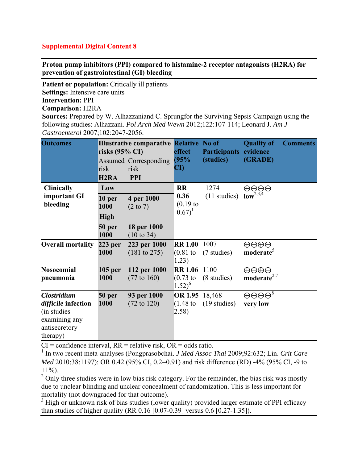**Proton pump inhibitors (PPI) compared to histamine-2 receptor antagonists (H2RA) for prevention of gastrointestinal (GI) bleeding** 

**Patient or population:** Critically ill patients **Settings:** Intensive care units **Intervention:** PPI **Comparison:** H2RA **Sources:** Prepared by W. Alhazzaniand C. Sprungfor the Surviving Sepsis Campaign using the

following studies: Alhazzani. *Pol Arch Med Wewn* 2012;122:107-114; Leonard J. *Am J Gastroenterol* 2007;102:2047-2056.

| <b>Outcomes</b>                                                                                         | risks $(95\% \text{ CI})$<br>risk<br>H <sub>2</sub> R <sub>A</sub> | <b>Illustrative comparative Relative No of</b><br><b>Assumed Corresponding</b><br>risk<br><b>PPI</b> | effect<br>(95%<br>$\mathbf{C}\mathbf{D}$        | <b>Participants</b><br>(studies) | <b>Quality of</b><br>evidence<br>(GRADE)              | <b>Comments</b> |
|---------------------------------------------------------------------------------------------------------|--------------------------------------------------------------------|------------------------------------------------------------------------------------------------------|-------------------------------------------------|----------------------------------|-------------------------------------------------------|-----------------|
| <b>Clinically</b>                                                                                       | Low                                                                |                                                                                                      | <b>RR</b>                                       | 1274                             | ⊕⊕⊝⊝                                                  |                 |
| important GI<br>bleeding                                                                                | 10 per<br>1000                                                     | 4 per 1000<br>$(2 \text{ to } 7)$                                                                    | 0.36<br>$(0.19)$ to                             | $(11$ studies)                   | $low^{2,3,4}$                                         |                 |
|                                                                                                         | <b>High</b>                                                        |                                                                                                      | $(0.67)^1$                                      |                                  |                                                       |                 |
|                                                                                                         | 50 per<br>1000                                                     | 18 per 1000<br>$(10 \text{ to } 34)$                                                                 |                                                 |                                  |                                                       |                 |
| <b>Overall mortality</b>                                                                                | $223$ per<br>1000                                                  | 223 per 1000<br>(181 to 275)                                                                         | <b>RR 1.00</b><br>$(0.81)$ to<br>1.23)          | 1007<br>(7 studies)              | $\oplus \oplus \oplus$<br>moderate <sup>5</sup>       |                 |
| <b>Nosocomial</b><br>pneumonia                                                                          | $105$ per<br>1000                                                  | 112 per 1000<br>$(77 \text{ to } 160)$                                                               | <b>RR 1.06</b><br>$(0.73)$ to<br>$1.52)^{6}$    | 1100<br>(8 studies)              | $\oplus \oplus \oplus$<br>moderate <sup>2,7</sup>     |                 |
| <b>Clostridium</b><br>difficile infection<br>(in studies)<br>examining any<br>antisecretory<br>therapy) | 50 per<br>1000                                                     | 93 per 1000<br>$(72 \text{ to } 120)$                                                                | OR 1.95 18,468<br>$(1.48 \text{ to }$<br>(2.58) | $(19 \text{ studies})$           | $\oplus$ $\ominus$ $\ominus$ <sup>8</sup><br>very low |                 |

 $CI =$  confidence interval,  $RR =$  relative risk,  $OR =$  odds ratio.

1 In two recent meta-analyses (Pongprasobchai*. J Med Assoc Thai* 2009;92:632; Lin. *Crit Care Med* 2010;38:1197): OR 0.42 (95% CI, 0.2–0.91) and risk difference (RD) -4% (95% CI, -9 to  $+1\%$ ).

 $2^2$  Only three studies were in low bias risk category. For the remainder, the bias risk was mostly due to unclear blinding and unclear concealment of randomization. This is less important for mortality (not downgraded for that outcome).

<sup>3</sup> High or unknown risk of bias studies (lower quality) provided larger estimate of PPI efficacy than studies of higher quality (RR 0.16 [0.07-0.39] versus 0.6 [0.27-1.35]).